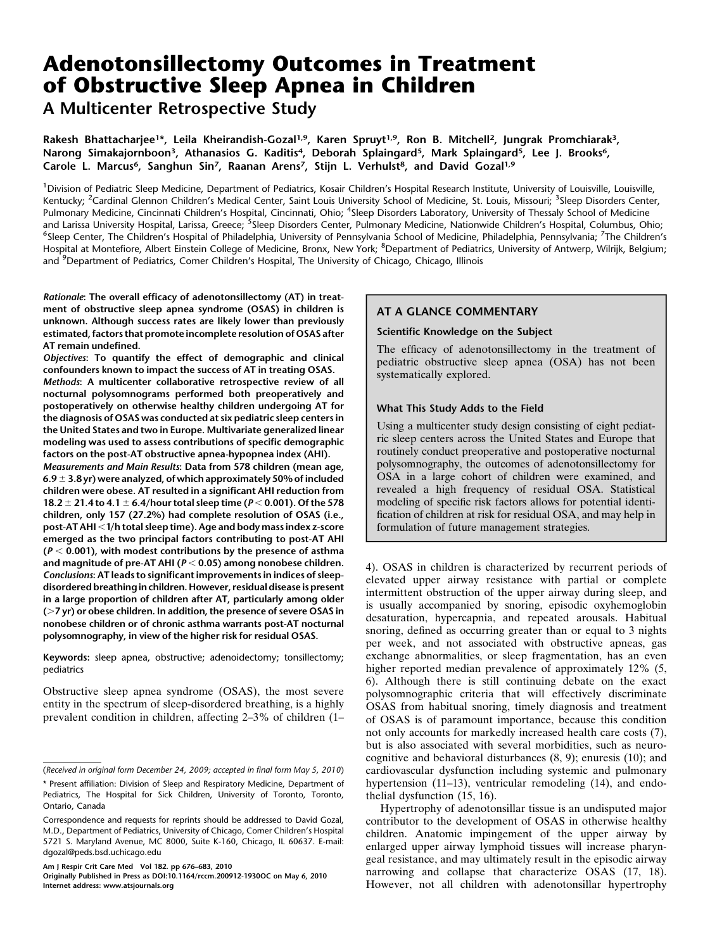# Adenotonsillectomy Outcomes in Treatment of Obstructive Sleep Apnea in Children

A Multicenter Retrospective Study

Rakesh Bhattacharjee<sup>1\*</sup>, Leila Kheirandish-Gozal<sup>1,9</sup>, Karen Spruyt<sup>1,9</sup>, Ron B. Mitchell<sup>2</sup>, Jungrak Promchiarak<sup>3</sup>, Narong Simakajornboon<sup>3</sup>, Athanasios G. Kaditis<sup>4</sup>, Deborah Splaingard<sup>5</sup>, Mark Splaingard<sup>5</sup>, Lee J. Brooks<sup>6</sup>, Carole L. Marcus<sup>6</sup>, Sanghun Sin<sup>7</sup>, Raanan Arens<sup>7</sup>, Stijn L. Verhulst<sup>8</sup>, and David Gozal<sup>1,9</sup>

<sup>1</sup> Division of Pediatric Sleep Medicine, Department of Pediatrics, Kosair Children's Hospital Research Institute, University of Louisville, Louisville, Kentucky; <sup>2</sup>Cardinal Glennon Children's Medical Center, Saint Louis University School of Medicine, St. Louis, Missouri; <sup>3</sup>Sleep Disorders Center, Pulmonary Medicine, Cincinnati Children's Hospital, Cincinnati, Ohio; <sup>4</sup>Sleep Disorders Laboratory, University of Thessaly School of Medicine and Larissa University Hospital, Larissa, Greece; <sup>5</sup>Sleep Disorders Center, Pulmonary Medicine, Nationwide Children's Hospital, Columbus, Ohio;<br><sup>6</sup>Sleep Center, The Children's Hospital of Philadelphia, University of Penns Sleep Center, The Children's Hospital of Philadelphia, University of Pennsylvania School of Medicine, Philadelphia, Pennsylvania; 7The Children's Hospital at Montefiore, Albert Einstein College of Medicine, Bronx, New York; <sup>8</sup>Department of Pediatrics, University of Antwerp, Wilrijk, Belgium; and <sup>9</sup>Department of Pediatrics, Comer Children's Hospital, The University of Chicago, Chicago, Illinois

Rationale: The overall efficacy of adenotonsillectomy (AT) in treatment of obstructive sleep apnea syndrome (OSAS) in children is unknown. Although success rates are likely lower than previously estimated, factors that promote incomplete resolution of OSAS after AT remain undefined.

Objectives: To quantify the effect of demographic and clinical confounders known to impact the success of AT in treating OSAS. Methods: A multicenter collaborative retrospective review of all nocturnal polysomnograms performed both preoperatively and postoperatively on otherwise healthy children undergoing AT for the diagnosis of OSAS was conducted at six pediatric sleep centers in the United States and two in Europe. Multivariate generalized linear

modeling was used to assess contributions of specific demographic factors on the post-AT obstructive apnea-hypopnea index (AHI). Measurements and Main Results: Data from 578 children (mean age, 6.9  $\pm$  3.8 yr) were analyzed, of which approximately 50% of included

children were obese. AT resulted in a significant AHI reduction from 18.2  $\pm$  21.4 to 4.1  $\pm$  6.4/hour total sleep time (P < 0.001). Of the 578 children, only 157 (27.2%) had complete resolution of OSAS (i.e., post-AT AHI < 1/h total sleep time). Age and body mass index z-score emerged as the two principal factors contributing to post-AT AHI  $(P < 0.001)$ , with modest contributions by the presence of asthma and magnitude of pre-AT AHI ( $P < 0.05$ ) among nonobese children. Conclusions: AT leads to significant improvements in indices of sleepdisordered breathing in children. However, residual disease is present in a large proportion of children after AT, particularly among older  $($  > 7 yr) or obese children. In addition, the presence of severe OSAS in nonobese children or of chronic asthma warrants post-AT nocturnal polysomnography, in view of the higher risk for residual OSAS.

Keywords: sleep apnea, obstructive; adenoidectomy; tonsillectomy; pediatrics

Obstructive sleep apnea syndrome (OSAS), the most severe entity in the spectrum of sleep-disordered breathing, is a highly prevalent condition in children, affecting 2–3% of children (1–

Am J Respir Crit Care Med Vol 182. pp 676–683, 2010

## AT A GLANCE COMMENTARY

#### Scientific Knowledge on the Subject

The efficacy of adenotonsillectomy in the treatment of pediatric obstructive sleep apnea (OSA) has not been systematically explored.

## What This Study Adds to the Field

Using a multicenter study design consisting of eight pediatric sleep centers across the United States and Europe that routinely conduct preoperative and postoperative nocturnal polysomnography, the outcomes of adenotonsillectomy for OSA in a large cohort of children were examined, and revealed a high frequency of residual OSA. Statistical modeling of specific risk factors allows for potential identification of children at risk for residual OSA, and may help in formulation of future management strategies.

4). OSAS in children is characterized by recurrent periods of elevated upper airway resistance with partial or complete intermittent obstruction of the upper airway during sleep, and is usually accompanied by snoring, episodic oxyhemoglobin desaturation, hypercapnia, and repeated arousals. Habitual snoring, defined as occurring greater than or equal to 3 nights per week, and not associated with obstructive apneas, gas exchange abnormalities, or sleep fragmentation, has an even higher reported median prevalence of approximately 12% (5, 6). Although there is still continuing debate on the exact polysomnographic criteria that will effectively discriminate OSAS from habitual snoring, timely diagnosis and treatment of OSAS is of paramount importance, because this condition not only accounts for markedly increased health care costs (7), but is also associated with several morbidities, such as neurocognitive and behavioral disturbances (8, 9); enuresis (10); and cardiovascular dysfunction including systemic and pulmonary hypertension (11-13), ventricular remodeling (14), and endothelial dysfunction (15, 16).

Hypertrophy of adenotonsillar tissue is an undisputed major contributor to the development of OSAS in otherwise healthy children. Anatomic impingement of the upper airway by enlarged upper airway lymphoid tissues will increase pharyngeal resistance, and may ultimately result in the episodic airway narrowing and collapse that characterize OSAS (17, 18). However, not all children with adenotonsillar hypertrophy

<sup>(</sup>Received in original form December 24, 2009; accepted in final form May 5, 2010)

<sup>\*</sup> Present affiliation: Division of Sleep and Respiratory Medicine, Department of Pediatrics, The Hospital for Sick Children, University of Toronto, Toronto, Ontario, Canada

Correspondence and requests for reprints should be addressed to David Gozal, M.D., Department of Pediatrics, University of Chicago, Comer Children's Hospital 5721 S. Maryland Avenue, MC 8000, Suite K-160, Chicago, IL 60637. E-mail: dgozal@peds.bsd.uchicago.edu

Originally Published in Press as DOI:10.1164/rccm.200912-1930OC on May 6, 2010 Internet address: www.atsjournals.org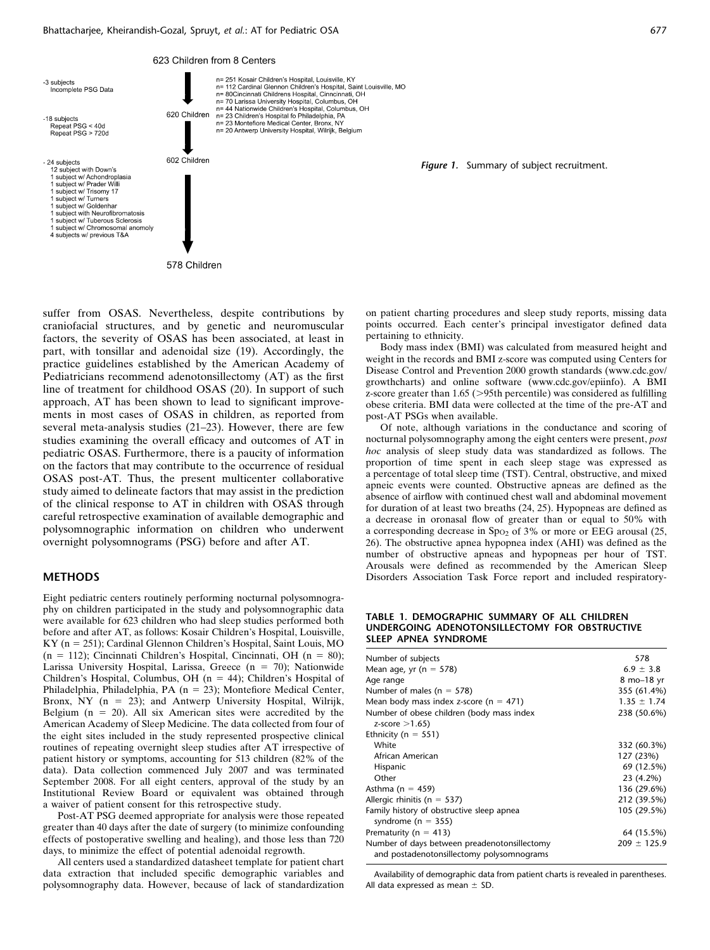

suffer from OSAS. Nevertheless, despite contributions by craniofacial structures, and by genetic and neuromuscular factors, the severity of OSAS has been associated, at least in part, with tonsillar and adenoidal size (19). Accordingly, the practice guidelines established by the American Academy of Pediatricians recommend adenotonsillectomy (AT) as the first line of treatment for childhood OSAS (20). In support of such approach, AT has been shown to lead to significant improvements in most cases of OSAS in children, as reported from several meta-analysis studies (21–23). However, there are few studies examining the overall efficacy and outcomes of AT in pediatric OSAS. Furthermore, there is a paucity of information on the factors that may contribute to the occurrence of residual OSAS post-AT. Thus, the present multicenter collaborative study aimed to delineate factors that may assist in the prediction of the clinical response to AT in children with OSAS through careful retrospective examination of available demographic and polysomnographic information on children who underwent overnight polysomnograms (PSG) before and after AT.

### **METHODS**

Eight pediatric centers routinely performing nocturnal polysomnography on children participated in the study and polysomnographic data were available for 623 children who had sleep studies performed both before and after AT, as follows: Kosair Children's Hospital, Louisville, KY (n = 251); Cardinal Glennon Children's Hospital, Saint Louis, MO  $(n = 112)$ ; Cincinnati Children's Hospital, Cincinnati, OH  $(n = 80)$ ; Larissa University Hospital, Larissa, Greece (n = 70); Nationwide Children's Hospital, Columbus, OH ( $n = 44$ ); Children's Hospital of Philadelphia, Philadelphia, PA ( $n = 23$ ); Montefiore Medical Center, Bronx, NY  $(n = 23)$ ; and Antwerp University Hospital, Wilrijk, Belgium  $(n = 20)$ . All six American sites were accredited by the American Academy of Sleep Medicine. The data collected from four of the eight sites included in the study represented prospective clinical routines of repeating overnight sleep studies after AT irrespective of patient history or symptoms, accounting for 513 children (82% of the data). Data collection commenced July 2007 and was terminated September 2008. For all eight centers, approval of the study by an Institutional Review Board or equivalent was obtained through a waiver of patient consent for this retrospective study.

Post-AT PSG deemed appropriate for analysis were those repeated greater than 40 days after the date of surgery (to minimize confounding effects of postoperative swelling and healing), and those less than 720 days, to minimize the effect of potential adenoidal regrowth.

All centers used a standardized datasheet template for patient chart data extraction that included specific demographic variables and polysomnography data. However, because of lack of standardization

on patient charting procedures and sleep study reports, missing data points occurred. Each center's principal investigator defined data pertaining to ethnicity.

Body mass index (BMI) was calculated from measured height and weight in the records and BMI z-score was computed using Centers for Disease Control and Prevention 2000 growth standards (www.cdc.gov/ growthcharts) and online software (www.cdc.gov/epiinfo). A BMI z-score greater than  $1.65$  ( $>95$ th percentile) was considered as fulfilling obese criteria. BMI data were collected at the time of the pre-AT and post-AT PSGs when available.

Of note, although variations in the conductance and scoring of nocturnal polysomnography among the eight centers were present, post hoc analysis of sleep study data was standardized as follows. The proportion of time spent in each sleep stage was expressed as a percentage of total sleep time (TST). Central, obstructive, and mixed apneic events were counted. Obstructive apneas are defined as the absence of airflow with continued chest wall and abdominal movement for duration of at least two breaths (24, 25). Hypopneas are defined as a decrease in oronasal flow of greater than or equal to 50% with a corresponding decrease in Spo<sub>2</sub> of 3% or more or EEG arousal (25, 26). The obstructive apnea hypopnea index (AHI) was defined as the number of obstructive apneas and hypopneas per hour of TST. Arousals were defined as recommended by the American Sleep Disorders Association Task Force report and included respiratory-

TABLE 1. DEMOGRAPHIC SUMMARY OF ALL CHILDREN UNDERGOING ADENOTONSILLECTOMY FOR OBSTRUCTIVE SLEEP APNEA SYNDROME

| Number of subjects                                                                        | 578             |
|-------------------------------------------------------------------------------------------|-----------------|
| Mean age, yr (n = 578)                                                                    | $6.9 \pm 3.8$   |
| Age range                                                                                 | 8 mo-18 yr      |
| Number of males ( $n = 578$ )                                                             | 355 (61.4%)     |
| Mean body mass index z-score ( $n = 471$ )                                                | $1.35 \pm 1.74$ |
| Number of obese children (body mass index                                                 | 238 (50.6%)     |
| z-score $>1.65$ )                                                                         |                 |
| Ethnicity ( $n = 551$ )                                                                   |                 |
| White                                                                                     | 332 (60.3%)     |
| African American                                                                          | 127 (23%)       |
| Hispanic                                                                                  | 69 (12.5%)      |
| Other                                                                                     | 23 (4.2%)       |
| Asthma (n = 459)                                                                          | 136 (29.6%)     |
| Allergic rhinitis ( $n = 537$ )                                                           | 212 (39.5%)     |
| Family history of obstructive sleep apnea<br>syndrome ( $n = 355$ )                       | 105 (29.5%)     |
| Prematurity ( $n = 413$ )                                                                 | 64 (15.5%)      |
| Number of days between preadenotonsillectomy<br>and postadenotonsillectomy polysomnograms | $209 \pm 125.9$ |

Availability of demographic data from patient charts is revealed in parentheses. All data expressed as mean  $\pm$  SD.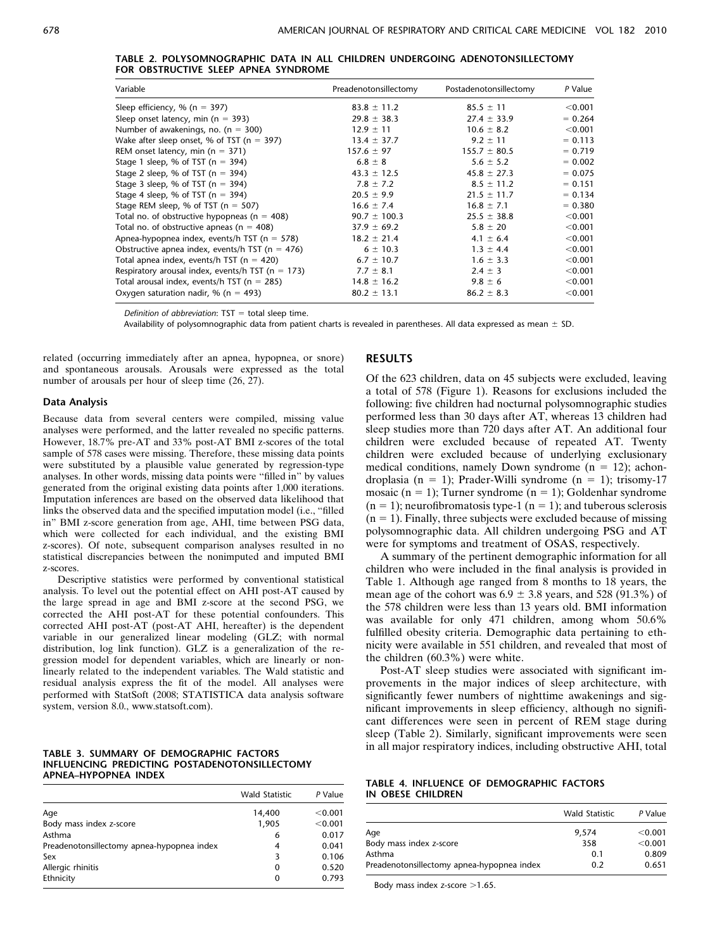TABLE 2. POLYSOMNOGRAPHIC DATA IN ALL CHILDREN UNDERGOING ADENOTONSILLECTOMY FOR OBSTRUCTIVE SLEEP APNEA SYNDROME

| Variable                                              | Preadenotonsillectomy | Postadenotonsillectomy | P Value   |
|-------------------------------------------------------|-----------------------|------------------------|-----------|
| Sleep efficiency, % ( $n = 397$ )                     | $83.8 \pm 11.2$       | $85.5 \pm 11$          | < 0.001   |
| Sleep onset latency, min ( $n = 393$ )                | $29.8 \pm 38.3$       | $27.4 \pm 33.9$        | $= 0.264$ |
| Number of awakenings, no. ( $n = 300$ )               | $12.9 \pm 11$         | $10.6 \pm 8.2$         | < 0.001   |
| Wake after sleep onset, % of TST $(n = 397)$          | $13.4 \pm 37.7$       | $9.2 \pm 11$           | $= 0.113$ |
| REM onset latency, min ( $n = 371$ )                  | $157.6 \pm 97$        | $155.7 \pm 80.5$       | $= 0.719$ |
| Stage 1 sleep, % of TST ( $n = 394$ )                 | $6.8 \pm 8$           | $5.6 \pm 5.2$          | $= 0.002$ |
| Stage 2 sleep, % of TST ( $n = 394$ )                 | $43.3 \pm 12.5$       | $45.8 \pm 27.3$        | $= 0.075$ |
| Stage 3 sleep, % of TST ( $n = 394$ )                 | $7.8 \pm 7.2$         | $8.5 \pm 11.2$         | $= 0.151$ |
| Stage 4 sleep, % of TST $(n = 394)$                   | $20.5 \pm 9.9$        | $21.5 \pm 11.7$        | $= 0.134$ |
| Stage REM sleep, % of TST ( $n = 507$ )               | $16.6 \pm 7.4$        | $16.8 \pm 7.1$         | $= 0.380$ |
| Total no. of obstructive hypopneas ( $n = 408$ )      | $90.7 \pm 100.3$      | $25.5 \pm 38.8$        | < 0.001   |
| Total no. of obstructive apneas ( $n = 408$ )         | $37.9 \pm 69.2$       | $5.8 \pm 20$           | < 0.001   |
| Apnea-hypopnea index, events/h TST ( $n = 578$ )      | $18.2 \pm 21.4$       | $4.1 \pm 6.4$          | < 0.001   |
| Obstructive apnea index, events/h TST ( $n = 476$ )   | $6 \pm 10.3$          | $1.3 \pm 4.4$          | < 0.001   |
| Total apnea index, events/h TST ( $n = 420$ )         | $6.7 \pm 10.7$        | $1.6 \pm 3.3$          | < 0.001   |
| Respiratory arousal index, events/h TST ( $n = 173$ ) | $7.7 \pm 8.1$         | $2.4 \pm 3$            | < 0.001   |
| Total arousal index, events/h TST ( $n = 285$ )       | $14.8 \pm 16.2$       | $9.8 \pm 6$            | < 0.001   |
| Oxygen saturation nadir, % ( $n = 493$ )              | $80.2 \pm 13.1$       | $86.2 \pm 8.3$         | < 0.001   |

Definition of abbreviation:  $TST = total$  sleep time.

Availability of polysomnographic data from patient charts is revealed in parentheses. All data expressed as mean  $\pm$  SD.

related (occurring immediately after an apnea, hypopnea, or snore) and spontaneous arousals. Arousals were expressed as the total number of arousals per hour of sleep time (26, 27).

#### Data Analysis

Because data from several centers were compiled, missing value analyses were performed, and the latter revealed no specific patterns. However, 18.7% pre-AT and 33% post-AT BMI z-scores of the total sample of 578 cases were missing. Therefore, these missing data points were substituted by a plausible value generated by regression-type analyses. In other words, missing data points were ''filled in'' by values generated from the original existing data points after 1,000 iterations. Imputation inferences are based on the observed data likelihood that links the observed data and the specified imputation model (i.e., ''filled in'' BMI z-score generation from age, AHI, time between PSG data, which were collected for each individual, and the existing BMI z-scores). Of note, subsequent comparison analyses resulted in no statistical discrepancies between the nonimputed and imputed BMI z-scores.

Descriptive statistics were performed by conventional statistical analysis. To level out the potential effect on AHI post-AT caused by the large spread in age and BMI z-score at the second PSG, we corrected the AHI post-AT for these potential confounders. This corrected AHI post-AT (post-AT AHI, hereafter) is the dependent variable in our generalized linear modeling (GLZ; with normal distribution, log link function). GLZ is a generalization of the regression model for dependent variables, which are linearly or nonlinearly related to the independent variables. The Wald statistic and residual analysis express the fit of the model. All analyses were performed with StatSoft (2008; STATISTICA data analysis software system, version 8.0., www.statsoft.com).

#### TABLE 3. SUMMARY OF DEMOGRAPHIC FACTORS INFLUENCING PREDICTING POSTADENOTONSILLECTOMY APNEA–HYPOPNEA INDEX

|                                            | <b>Wald Statistic</b> | P Value |
|--------------------------------------------|-----------------------|---------|
| Age                                        | 14,400                | < 0.001 |
| Body mass index z-score                    | 1,905                 | < 0.001 |
| Asthma                                     | 6                     | 0.017   |
| Preadenotonsillectomy apnea-hypopnea index | 4                     | 0.041   |
| Sex                                        | 3                     | 0.106   |
| Allergic rhinitis                          | $\Omega$              | 0.520   |
| Ethnicity                                  | 0                     | 0.793   |

## RESULTS

Of the 623 children, data on 45 subjects were excluded, leaving a total of 578 (Figure 1). Reasons for exclusions included the following: five children had nocturnal polysomnographic studies performed less than 30 days after AT, whereas 13 children had sleep studies more than 720 days after AT. An additional four children were excluded because of repeated AT. Twenty children were excluded because of underlying exclusionary medical conditions, namely Down syndrome ( $n = 12$ ); achondroplasia (n = 1); Prader-Willi syndrome (n = 1); trisomy-17 mosaic ( $n = 1$ ); Turner syndrome ( $n = 1$ ); Goldenhar syndrome  $(n = 1)$ ; neurofibromatosis type-1  $(n = 1)$ ; and tuberous sclerosis  $(n = 1)$ . Finally, three subjects were excluded because of missing polysomnographic data. All children undergoing PSG and AT were for symptoms and treatment of OSAS, respectively.

A summary of the pertinent demographic information for all children who were included in the final analysis is provided in Table 1. Although age ranged from 8 months to 18 years, the mean age of the cohort was  $6.9 \pm 3.8$  years, and 528 (91.3%) of the 578 children were less than 13 years old. BMI information was available for only 471 children, among whom 50.6% fulfilled obesity criteria. Demographic data pertaining to ethnicity were available in 551 children, and revealed that most of the children (60.3%) were white.

Post-AT sleep studies were associated with significant improvements in the major indices of sleep architecture, with significantly fewer numbers of nighttime awakenings and significant improvements in sleep efficiency, although no significant differences were seen in percent of REM stage during sleep (Table 2). Similarly, significant improvements were seen in all major respiratory indices, including obstructive AHI, total

#### TABLE 4. INFLUENCE OF DEMOGRAPHIC FACTORS IN OBESE CHILDREN

|                                            | <b>Wald Statistic</b> | P Value |
|--------------------------------------------|-----------------------|---------|
| Aqe                                        | 9.574                 | < 0.001 |
| Body mass index z-score                    | 358                   | < 0.001 |
| Asthma                                     | 0.1                   | 0.809   |
| Preadenotonsillectomy apnea-hypopnea index | 0.2                   | 0.651   |

Body mass index z-score  $>1.65$ .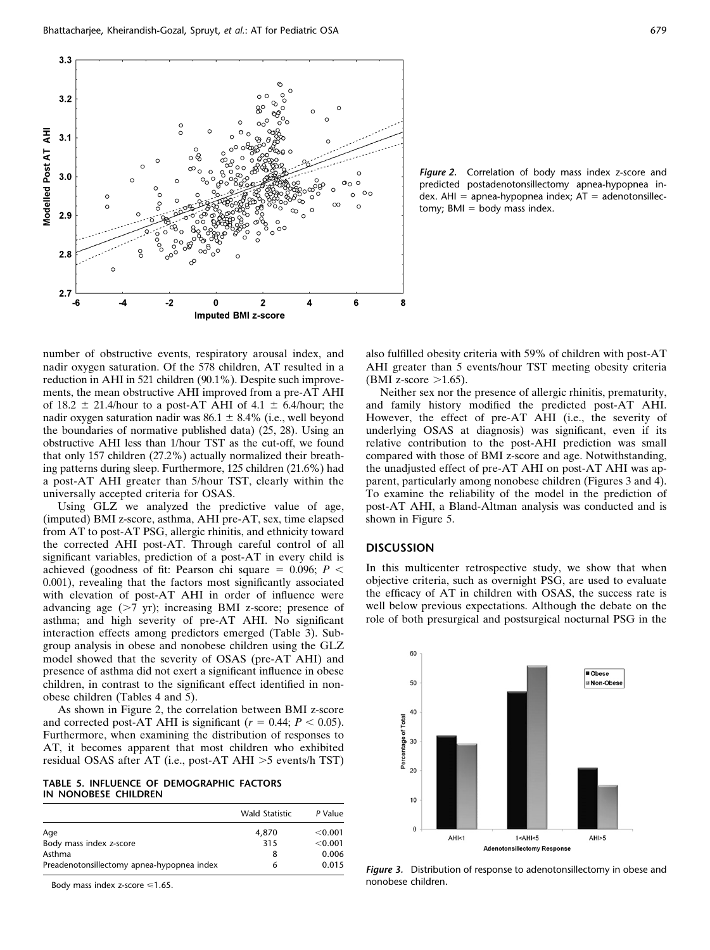

Figure 2. Correlation of body mass index z-score and predicted postadenotonsillectomy apnea-hypopnea index. AHI = apnea-hypopnea index;  $AT =$  adenotonsillectomy;  $BMI = body$  mass index.

number of obstructive events, respiratory arousal index, and nadir oxygen saturation. Of the 578 children, AT resulted in a reduction in AHI in 521 children (90.1%). Despite such improvements, the mean obstructive AHI improved from a pre-AT AHI of 18.2  $\pm$  21.4/hour to a post-AT AHI of 4.1  $\pm$  6.4/hour; the nadir oxygen saturation nadir was  $86.1 \pm 8.4\%$  (i.e., well beyond the boundaries of normative published data) (25, 28). Using an obstructive AHI less than 1/hour TST as the cut-off, we found that only 157 children (27.2%) actually normalized their breathing patterns during sleep. Furthermore, 125 children (21.6%) had a post-AT AHI greater than 5/hour TST, clearly within the universally accepted criteria for OSAS.

Using GLZ we analyzed the predictive value of age, (imputed) BMI z-score, asthma, AHI pre-AT, sex, time elapsed from AT to post-AT PSG, allergic rhinitis, and ethnicity toward the corrected AHI post-AT. Through careful control of all significant variables, prediction of a post-AT in every child is achieved (goodness of fit: Pearson chi square  $= 0.096$ ; P  $\lt$ 0.001), revealing that the factors most significantly associated with elevation of post-AT AHI in order of influence were advancing age  $(>7 \text{ yr})$ ; increasing BMI z-score; presence of asthma; and high severity of pre-AT AHI. No significant interaction effects among predictors emerged (Table 3). Subgroup analysis in obese and nonobese children using the GLZ model showed that the severity of OSAS (pre-AT AHI) and presence of asthma did not exert a significant influence in obese children, in contrast to the significant effect identified in nonobese children (Tables 4 and 5).

As shown in Figure 2, the correlation between BMI z-score and corrected post-AT AHI is significant ( $r = 0.44$ ;  $P < 0.05$ ). Furthermore, when examining the distribution of responses to AT, it becomes apparent that most children who exhibited residual OSAS after AT (i.e., post-AT AHI >5 events/h TST)

TABLE 5. INFLUENCE OF DEMOGRAPHIC FACTORS IN NONOBESE CHILDREN

|                                            | <b>Wald Statistic</b> | P Value |
|--------------------------------------------|-----------------------|---------|
| Age                                        | 4.870                 | < 0.001 |
| Body mass index z-score                    | 315                   | < 0.001 |
| Asthma                                     | 8                     | 0.006   |
| Preadenotonsillectomy apnea-hypopnea index | 6                     | 0.015   |

Body mass index z-score  $\leq 1.65$ .

also fulfilled obesity criteria with 59% of children with post-AT AHI greater than 5 events/hour TST meeting obesity criteria (BMI z-score  $>1.65$ ).

Neither sex nor the presence of allergic rhinitis, prematurity, and family history modified the predicted post-AT AHI. However, the effect of pre-AT AHI (i.e., the severity of underlying OSAS at diagnosis) was significant, even if its relative contribution to the post-AHI prediction was small compared with those of BMI z-score and age. Notwithstanding, the unadjusted effect of pre-AT AHI on post-AT AHI was apparent, particularly among nonobese children (Figures 3 and 4). To examine the reliability of the model in the prediction of post-AT AHI, a Bland-Altman analysis was conducted and is shown in Figure 5.

## **DISCUSSION**

In this multicenter retrospective study, we show that when objective criteria, such as overnight PSG, are used to evaluate the efficacy of AT in children with OSAS, the success rate is well below previous expectations. Although the debate on the role of both presurgical and postsurgical nocturnal PSG in the



Figure 3. Distribution of response to adenotonsillectomy in obese and nonobese children.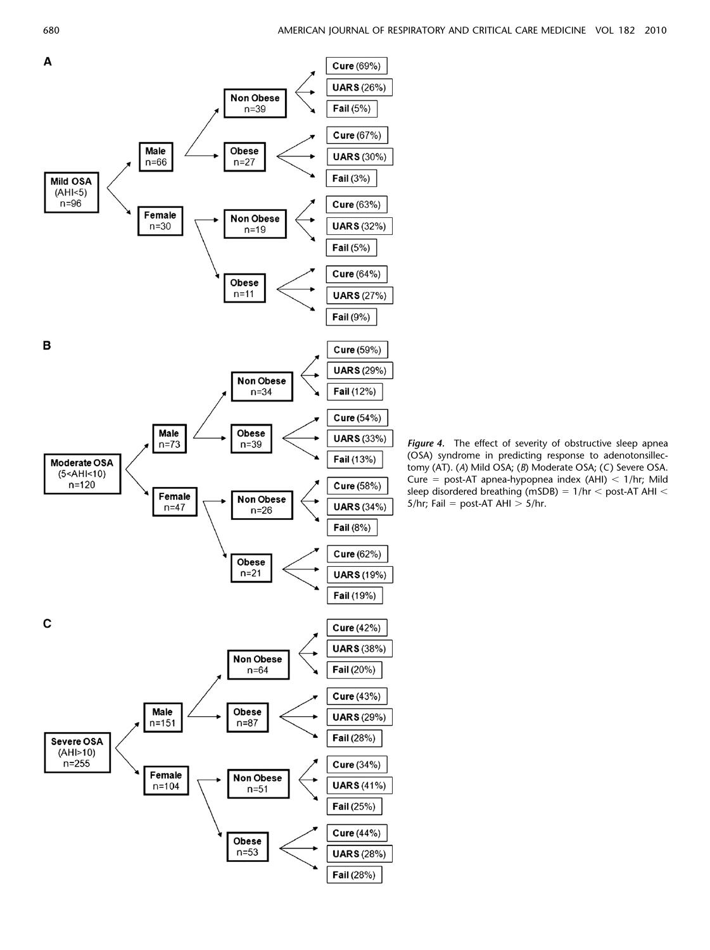

Figure 4. The effect of severity of obstructive sleep apnea (OSA) syndrome in predicting response to adenotonsillectomy (AT). (A) Mild OSA; (B) Moderate OSA; (C) Severe OSA. Cure = post-AT apnea-hypopnea index (AHI)  $<$  1/hr; Mild sleep disordered breathing (mSDB) =  $1/hr <$  post-AT AHI  $<$ 5/hr; Fail = post-AT AHI  $> 5/hr$ .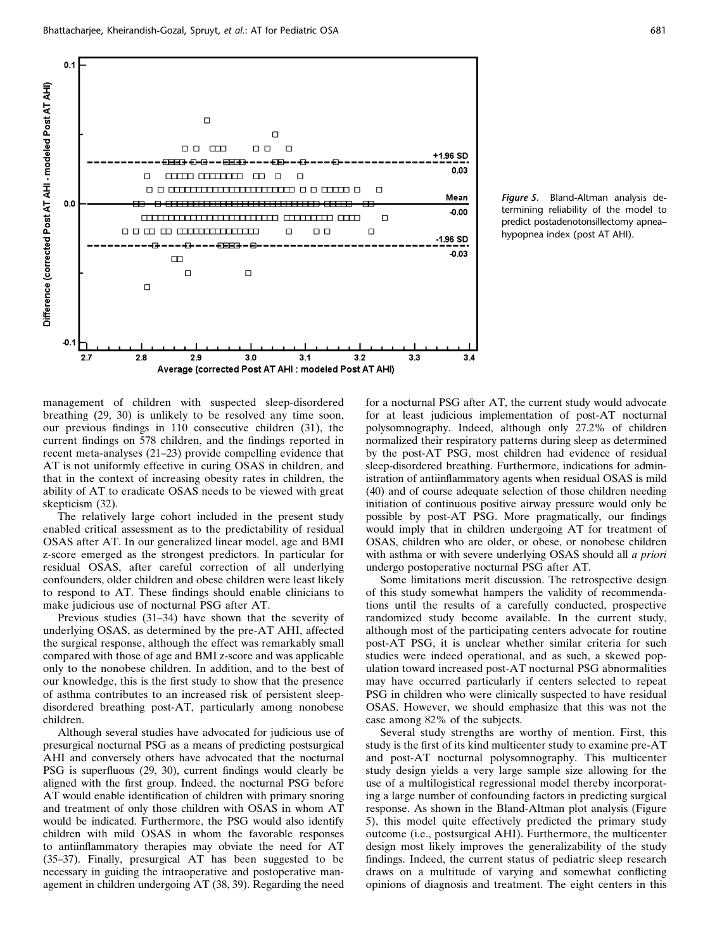



management of children with suspected sleep-disordered breathing (29, 30) is unlikely to be resolved any time soon, our previous findings in 110 consecutive children (31), the current findings on 578 children, and the findings reported in recent meta-analyses (21–23) provide compelling evidence that AT is not uniformly effective in curing OSAS in children, and that in the context of increasing obesity rates in children, the ability of AT to eradicate OSAS needs to be viewed with great skepticism (32).

The relatively large cohort included in the present study enabled critical assessment as to the predictability of residual OSAS after AT. In our generalized linear model, age and BMI z-score emerged as the strongest predictors. In particular for residual OSAS, after careful correction of all underlying confounders, older children and obese children were least likely to respond to AT. These findings should enable clinicians to make judicious use of nocturnal PSG after AT.

Previous studies (31–34) have shown that the severity of underlying OSAS, as determined by the pre-AT AHI, affected the surgical response, although the effect was remarkably small compared with those of age and BMI z-score and was applicable only to the nonobese children. In addition, and to the best of our knowledge, this is the first study to show that the presence of asthma contributes to an increased risk of persistent sleepdisordered breathing post-AT, particularly among nonobese children.

Although several studies have advocated for judicious use of presurgical nocturnal PSG as a means of predicting postsurgical AHI and conversely others have advocated that the nocturnal PSG is superfluous (29, 30), current findings would clearly be aligned with the first group. Indeed, the nocturnal PSG before AT would enable identification of children with primary snoring and treatment of only those children with OSAS in whom AT would be indicated. Furthermore, the PSG would also identify children with mild OSAS in whom the favorable responses to antiinflammatory therapies may obviate the need for AT (35–37). Finally, presurgical AT has been suggested to be necessary in guiding the intraoperative and postoperative management in children undergoing AT (38, 39). Regarding the need for a nocturnal PSG after AT, the current study would advocate for at least judicious implementation of post-AT nocturnal polysomnography. Indeed, although only 27.2% of children normalized their respiratory patterns during sleep as determined by the post-AT PSG, most children had evidence of residual sleep-disordered breathing. Furthermore, indications for administration of antiinflammatory agents when residual OSAS is mild (40) and of course adequate selection of those children needing initiation of continuous positive airway pressure would only be possible by post-AT PSG. More pragmatically, our findings would imply that in children undergoing AT for treatment of OSAS, children who are older, or obese, or nonobese children with asthma or with severe underlying OSAS should all *a priori* undergo postoperative nocturnal PSG after AT.

Some limitations merit discussion. The retrospective design of this study somewhat hampers the validity of recommendations until the results of a carefully conducted, prospective randomized study become available. In the current study, although most of the participating centers advocate for routine post-AT PSG, it is unclear whether similar criteria for such studies were indeed operational, and as such, a skewed population toward increased post-AT nocturnal PSG abnormalities may have occurred particularly if centers selected to repeat PSG in children who were clinically suspected to have residual OSAS. However, we should emphasize that this was not the case among 82% of the subjects.

Several study strengths are worthy of mention. First, this study is the first of its kind multicenter study to examine pre-AT and post-AT nocturnal polysomnography. This multicenter study design yields a very large sample size allowing for the use of a multilogistical regressional model thereby incorporating a large number of confounding factors in predicting surgical response. As shown in the Bland-Altman plot analysis (Figure 5), this model quite effectively predicted the primary study outcome (i.e., postsurgical AHI). Furthermore, the multicenter design most likely improves the generalizability of the study findings. Indeed, the current status of pediatric sleep research draws on a multitude of varying and somewhat conflicting opinions of diagnosis and treatment. The eight centers in this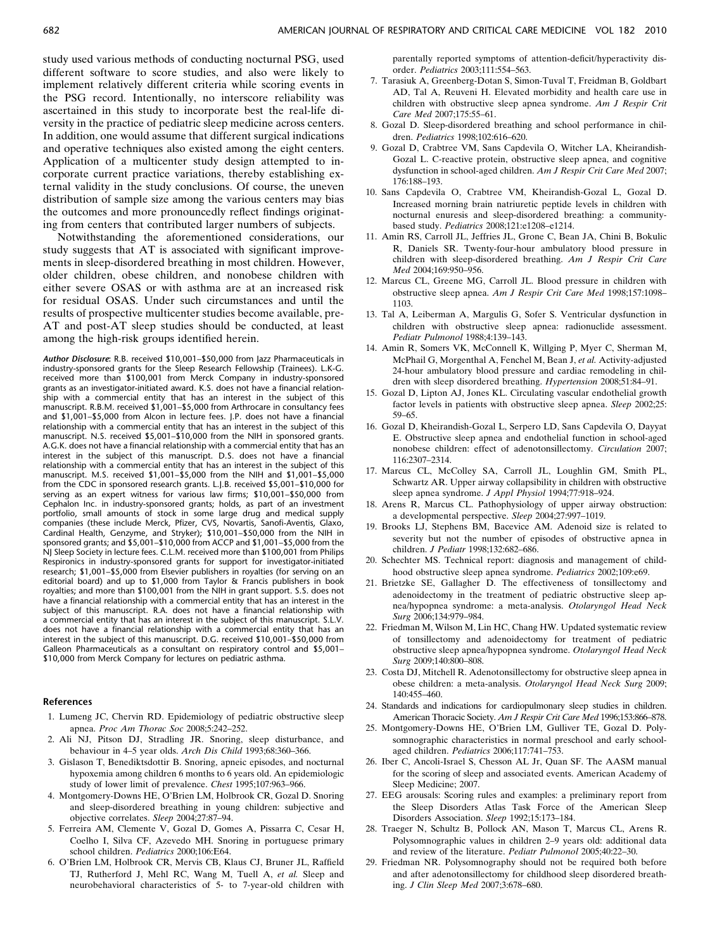study used various methods of conducting nocturnal PSG, used different software to score studies, and also were likely to implement relatively different criteria while scoring events in the PSG record. Intentionally, no interscore reliability was ascertained in this study to incorporate best the real-life diversity in the practice of pediatric sleep medicine across centers. In addition, one would assume that different surgical indications and operative techniques also existed among the eight centers. Application of a multicenter study design attempted to incorporate current practice variations, thereby establishing external validity in the study conclusions. Of course, the uneven distribution of sample size among the various centers may bias the outcomes and more pronouncedly reflect findings originating from centers that contributed larger numbers of subjects.

Notwithstanding the aforementioned considerations, our study suggests that AT is associated with significant improvements in sleep-disordered breathing in most children. However, older children, obese children, and nonobese children with either severe OSAS or with asthma are at an increased risk for residual OSAS. Under such circumstances and until the results of prospective multicenter studies become available, pre-AT and post-AT sleep studies should be conducted, at least among the high-risk groups identified herein.

Author Disclosure: R.B. received \$10,001–\$50,000 from Jazz Pharmaceuticals in industry-sponsored grants for the Sleep Research Fellowship (Trainees). L.K-G. received more than \$100,001 from Merck Company in industry-sponsored grants as an investigator-initiated award. K.S. does not have a financial relationship with a commercial entity that has an interest in the subject of this manuscript. R.B.M. received \$1,001–\$5,000 from Arthrocare in consultancy fees and \$1,001–\$5,000 from Alcon in lecture fees. J.P. does not have a financial relationship with a commercial entity that has an interest in the subject of this manuscript. N.S. received \$5,001–\$10,000 from the NIH in sponsored grants. A.G.K. does not have a financial relationship with a commercial entity that has an interest in the subject of this manuscript. D.S. does not have a financial relationship with a commercial entity that has an interest in the subject of this manuscript. M.S. received \$1,001–\$5,000 from the NIH and \$1,001–\$5,000 from the CDC in sponsored research grants. L.J.B. received \$5,001–\$10,000 for serving as an expert witness for various law firms; \$10,001–\$50,000 from Cephalon Inc. in industry-sponsored grants; holds, as part of an investment portfolio, small amounts of stock in some large drug and medical supply companies (these include Merck, Pfizer, CVS, Novartis, Sanofi-Aventis, Glaxo, Cardinal Health, Genzyme, and Stryker); \$10,001–\$50,000 from the NIH in sponsored grants; and \$5,001–\$10,000 from ACCP and \$1,001–\$5,000 from the NJ Sleep Society in lecture fees. C.L.M. received more than \$100,001 from Philips Respironics in industry-sponsored grants for support for investigator-initiated research; \$1,001–\$5,000 from Elsevier publishers in royalties (for serving on an editorial board) and up to \$1,000 from Taylor & Francis publishers in book royalties; and more than \$100,001 from the NIH in grant support. S.S. does not have a financial relationship with a commercial entity that has an interest in the subject of this manuscript. R.A. does not have a financial relationship with a commercial entity that has an interest in the subject of this manuscript. S.L.V. does not have a financial relationship with a commercial entity that has an interest in the subject of this manuscript. D.G. received \$10,001–\$50,000 from Galleon Pharmaceuticals as a consultant on respiratory control and \$5,001– \$10,000 from Merck Company for lectures on pediatric asthma.

#### References

- 1. Lumeng JC, Chervin RD. Epidemiology of pediatric obstructive sleep apnea. Proc Am Thorac Soc 2008;5:242–252.
- 2. Ali NJ, Pitson DJ, Stradling JR. Snoring, sleep disturbance, and behaviour in 4–5 year olds. Arch Dis Child 1993;68:360–366.
- 3. Gislason T, Benediktsdottir B. Snoring, apneic episodes, and nocturnal hypoxemia among children 6 months to 6 years old. An epidemiologic study of lower limit of prevalence. Chest 1995;107:963–966.
- 4. Montgomery-Downs HE, O'Brien LM, Holbrook CR, Gozal D. Snoring and sleep-disordered breathing in young children: subjective and objective correlates. Sleep 2004;27:87–94.
- 5. Ferreira AM, Clemente V, Gozal D, Gomes A, Pissarra C, Cesar H, Coelho I, Silva CF, Azevedo MH. Snoring in portuguese primary school children. Pediatrics 2000;106:E64.
- 6. O'Brien LM, Holbrook CR, Mervis CB, Klaus CJ, Bruner JL, Raffield TJ, Rutherford J, Mehl RC, Wang M, Tuell A, et al. Sleep and neurobehavioral characteristics of 5- to 7-year-old children with

parentally reported symptoms of attention-deficit/hyperactivity disorder. Pediatrics 2003;111:554–563.

- 7. Tarasiuk A, Greenberg-Dotan S, Simon-Tuval T, Freidman B, Goldbart AD, Tal A, Reuveni H. Elevated morbidity and health care use in children with obstructive sleep apnea syndrome. Am J Respir Crit Care Med 2007;175:55–61.
- 8. Gozal D. Sleep-disordered breathing and school performance in children. Pediatrics 1998;102:616–620.
- 9. Gozal D, Crabtree VM, Sans Capdevila O, Witcher LA, Kheirandish-Gozal L. C-reactive protein, obstructive sleep apnea, and cognitive dysfunction in school-aged children. Am J Respir Crit Care Med 2007; 176:188–193.
- 10. Sans Capdevila O, Crabtree VM, Kheirandish-Gozal L, Gozal D. Increased morning brain natriuretic peptide levels in children with nocturnal enuresis and sleep-disordered breathing: a communitybased study. Pediatrics 2008;121:e1208–e1214.
- 11. Amin RS, Carroll JL, Jeffries JL, Grone C, Bean JA, Chini B, Bokulic R, Daniels SR. Twenty-four-hour ambulatory blood pressure in children with sleep-disordered breathing. Am J Respir Crit Care Med 2004;169:950–956.
- 12. Marcus CL, Greene MG, Carroll JL. Blood pressure in children with obstructive sleep apnea. Am J Respir Crit Care Med 1998;157:1098– 1103.
- 13. Tal A, Leiberman A, Margulis G, Sofer S. Ventricular dysfunction in children with obstructive sleep apnea: radionuclide assessment. Pediatr Pulmonol 1988;4:139–143.
- 14. Amin R, Somers VK, McConnell K, Willging P, Myer C, Sherman M, McPhail G, Morgenthal A, Fenchel M, Bean J, et al. Activity-adjusted 24-hour ambulatory blood pressure and cardiac remodeling in children with sleep disordered breathing. Hypertension 2008;51:84–91.
- 15. Gozal D, Lipton AJ, Jones KL. Circulating vascular endothelial growth factor levels in patients with obstructive sleep apnea. Sleep 2002;25: 59–65.
- 16. Gozal D, Kheirandish-Gozal L, Serpero LD, Sans Capdevila O, Dayyat E. Obstructive sleep apnea and endothelial function in school-aged nonobese children: effect of adenotonsillectomy. Circulation 2007; 116:2307–2314.
- 17. Marcus CL, McColley SA, Carroll JL, Loughlin GM, Smith PL, Schwartz AR. Upper airway collapsibility in children with obstructive sleep apnea syndrome. J Appl Physiol 1994;77:918–924.
- 18. Arens R, Marcus CL. Pathophysiology of upper airway obstruction: a developmental perspective. Sleep 2004;27:997–1019.
- 19. Brooks LJ, Stephens BM, Bacevice AM. Adenoid size is related to severity but not the number of episodes of obstructive apnea in children. J Pediatr 1998;132:682–686.
- 20. Schechter MS. Technical report: diagnosis and management of childhood obstructive sleep apnea syndrome. Pediatrics 2002;109:e69.
- 21. Brietzke SE, Gallagher D. The effectiveness of tonsillectomy and adenoidectomy in the treatment of pediatric obstructive sleep apnea/hypopnea syndrome: a meta-analysis. Otolaryngol Head Neck Surg 2006;134:979–984.
- 22. Friedman M, Wilson M, Lin HC, Chang HW. Updated systematic review of tonsillectomy and adenoidectomy for treatment of pediatric obstructive sleep apnea/hypopnea syndrome. Otolaryngol Head Neck Surg 2009;140:800–808.
- 23. Costa DJ, Mitchell R. Adenotonsillectomy for obstructive sleep apnea in obese children: a meta-analysis. Otolaryngol Head Neck Surg 2009; 140:455–460.
- 24. Standards and indications for cardiopulmonary sleep studies in children. American Thoracic Society. Am J Respir Crit Care Med 1996;153:866–878.
- 25. Montgomery-Downs HE, O'Brien LM, Gulliver TE, Gozal D. Polysomnographic characteristics in normal preschool and early schoolaged children. Pediatrics 2006;117:741–753.
- 26. Iber C, Ancoli-Israel S, Chesson AL Jr, Quan SF. The AASM manual for the scoring of sleep and associated events. American Academy of Sleep Medicine; 2007.
- 27. EEG arousals: Scoring rules and examples: a preliminary report from the Sleep Disorders Atlas Task Force of the American Sleep Disorders Association. Sleep 1992;15:173–184.
- 28. Traeger N, Schultz B, Pollock AN, Mason T, Marcus CL, Arens R. Polysomnographic values in children 2–9 years old: additional data and review of the literature. Pediatr Pulmonol 2005;40:22–30.
- 29. Friedman NR. Polysomnography should not be required both before and after adenotonsillectomy for childhood sleep disordered breathing. J Clin Sleep Med 2007;3:678–680.